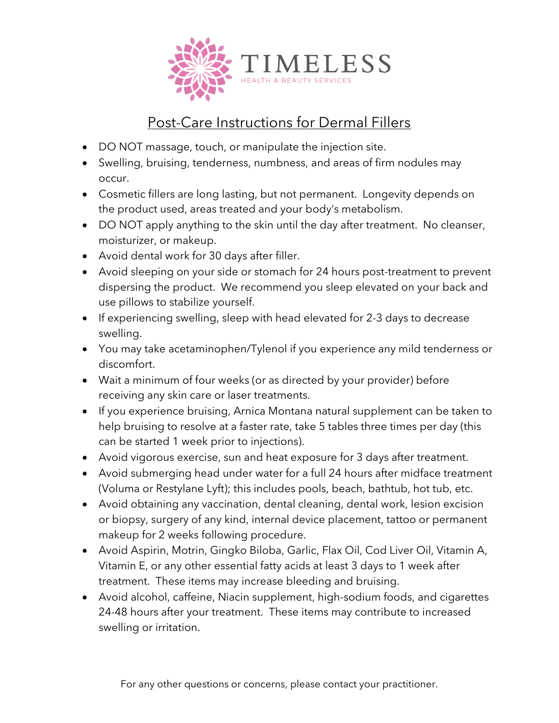

## Post-Care Instructions for Dermal Fillers

- DO NOT massage, touch, or manipulate the injection site.
- Swelling, bruising, tenderness, numbness, and areas of firm nodules may occur.
- Cosmetic fillers are long lasting, but not permanent. Longevity depends on the product used, areas treated and your body's metabolism.
- DO NOT apply anything to the skin until the day after treatment. No cleanser, moisturizer, or makeup.
- Avoid dental work for 30 days after filler.
- Avoid sleeping on your side or stomach for 24 hours post-treatment to prevent dispersing the product. We recommend you sleep elevated on your back and use pillows to stabilize yourself.
- If experiencing swelling, sleep with head elevated for 2-3 days to decrease swelling.
- You may take acetaminophen/Tylenol if you experience any mild tenderness or discomfort.
- Wait a minimum of four weeks (or as directed by your provider) before receiving any skin care or laser treatments.
- If you experience bruising, Arnica Montana natural supplement can be taken to help bruising to resolve at a faster rate, take 5 tables three times per day (this can be started 1 week prior to injections).
- Avoid vigorous exercise, sun and heat exposure for 3 days after treatment.
- Avoid submerging head under water for a full 24 hours after midface treatment (Voluma or Restylane Lyft); this includes pools, beach, bathtub, hot tub, etc.
- Avoid obtaining any vaccination, dental cleaning, dental work, lesion excision or biopsy, surgery of any kind, internal device placement, tattoo or permanent makeup for 2 weeks following procedure.
- Avoid Aspirin, Motrin, Gingko Biloba, Garlic, Flax Oil, Cod Liver Oil, Vitamin A, Vitamin E, or any other essential fatty acids at least 3 days to 1 week after treatment. These items may increase bleeding and bruising.
- Avoid alcohol, caffeine, Niacin supplement, high-sodium foods, and cigarettes 24-48 hours after your treatment. These items may contribute to increased swelling or irritation.